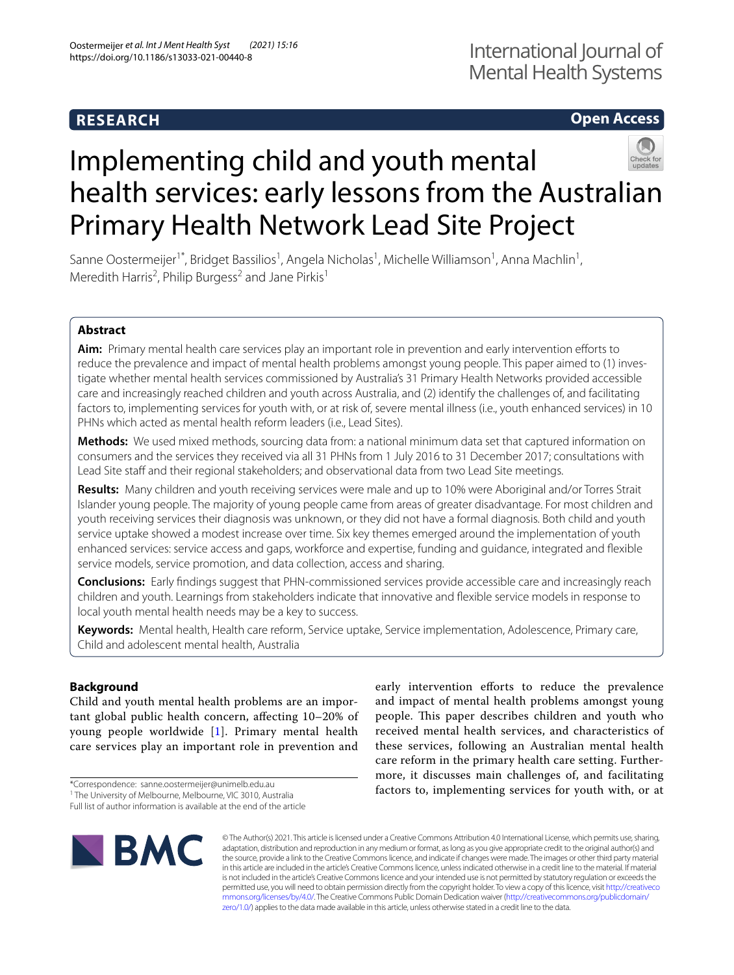# **RESEARCH**

# **Open Access**



# Implementing child and youth mental health services: early lessons from the Australian Primary Health Network Lead Site Project

Sanne Oostermeijer<sup>1\*</sup>, Bridget Bassilios<sup>1</sup>, Angela Nicholas<sup>1</sup>, Michelle Williamson<sup>1</sup>, Anna Machlin<sup>1</sup>, Meredith Harris<sup>2</sup>, Philip Burgess<sup>2</sup> and Jane Pirkis<sup>1</sup>

# **Abstract**

Aim: Primary mental health care services play an important role in prevention and early intervention efforts to reduce the prevalence and impact of mental health problems amongst young people. This paper aimed to (1) investigate whether mental health services commissioned by Australia's 31 Primary Health Networks provided accessible care and increasingly reached children and youth across Australia, and (2) identify the challenges of, and facilitating factors to, implementing services for youth with, or at risk of, severe mental illness (i.e., youth enhanced services) in 10 PHNs which acted as mental health reform leaders (i.e., Lead Sites).

**Methods:** We used mixed methods, sourcing data from: a national minimum data set that captured information on consumers and the services they received via all 31 PHNs from 1 July 2016 to 31 December 2017; consultations with Lead Site staff and their regional stakeholders; and observational data from two Lead Site meetings.

**Results:** Many children and youth receiving services were male and up to 10% were Aboriginal and/or Torres Strait Islander young people. The majority of young people came from areas of greater disadvantage. For most children and youth receiving services their diagnosis was unknown, or they did not have a formal diagnosis. Both child and youth service uptake showed a modest increase over time. Six key themes emerged around the implementation of youth enhanced services: service access and gaps, workforce and expertise, funding and guidance, integrated and fexible service models, service promotion, and data collection, access and sharing.

**Conclusions:** Early fndings suggest that PHN-commissioned services provide accessible care and increasingly reach children and youth. Learnings from stakeholders indicate that innovative and fexible service models in response to local youth mental health needs may be a key to success.

**Keywords:** Mental health, Health care reform, Service uptake, Service implementation, Adolescence, Primary care, Child and adolescent mental health, Australia

## **Background**

Child and youth mental health problems are an important global public health concern, afecting 10–20% of young people worldwide [\[1](#page-11-0)]. Primary mental health care services play an important role in prevention and

**BMC** 

early intervention efforts to reduce the prevalence and impact of mental health problems amongst young people. This paper describes children and youth who received mental health services, and characteristics of these services, following an Australian mental health care reform in the primary health care setting. Furthermore, it discusses main challenges of, and facilitating factors to, implementing services for youth with, or at

© The Author(s) 2021. This article is licensed under a Creative Commons Attribution 4.0 International License, which permits use, sharing, adaptation, distribution and reproduction in any medium or format, as long as you give appropriate credit to the original author(s) and the source, provide a link to the Creative Commons licence, and indicate if changes were made. The images or other third party material in this article are included in the article's Creative Commons licence, unless indicated otherwise in a credit line to the material. If material is not included in the article's Creative Commons licence and your intended use is not permitted by statutory regulation or exceeds the permitted use, you will need to obtain permission directly from the copyright holder. To view a copy of this licence, visit [http://creativeco](http://creativecommons.org/licenses/by/4.0/) [mmons.org/licenses/by/4.0/.](http://creativecommons.org/licenses/by/4.0/) The Creative Commons Public Domain Dedication waiver ([http://creativecommons.org/publicdomain/](http://creativecommons.org/publicdomain/zero/1.0/) [zero/1.0/\)](http://creativecommons.org/publicdomain/zero/1.0/) applies to the data made available in this article, unless otherwise stated in a credit line to the data.

<sup>\*</sup>Correspondence: sanne.oostermeijer@unimelb.edu.au

<sup>&</sup>lt;sup>1</sup> The University of Melbourne, Melbourne, VIC 3010, Australia

Full list of author information is available at the end of the article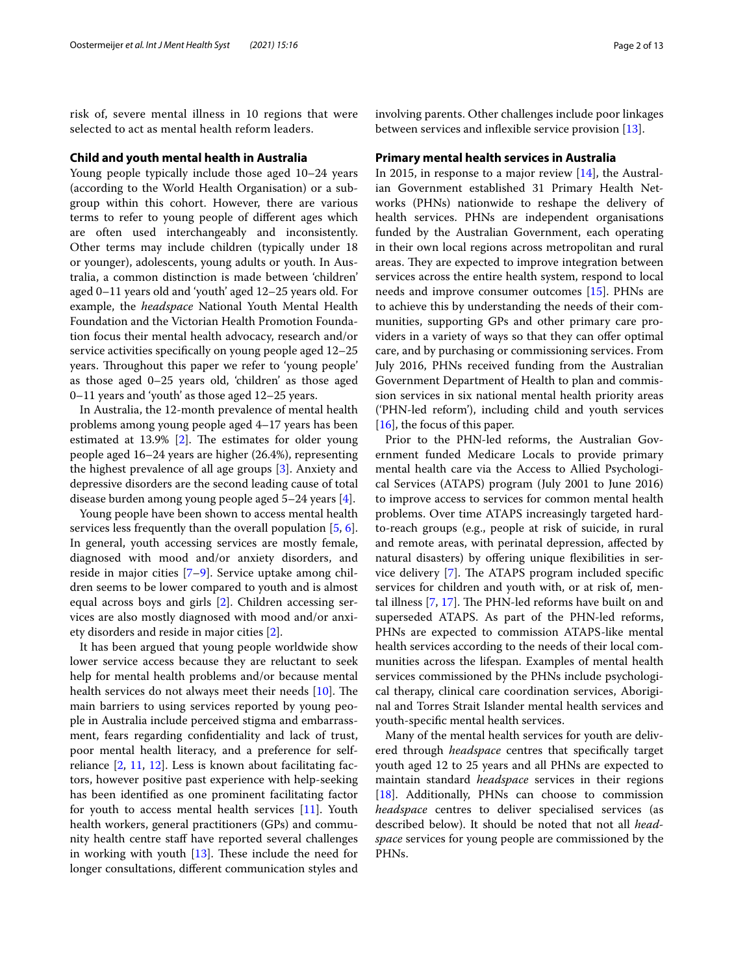risk of, severe mental illness in 10 regions that were selected to act as mental health reform leaders.

#### **Child and youth mental health in Australia**

Young people typically include those aged 10–24 years (according to the World Health Organisation) or a subgroup within this cohort. However, there are various terms to refer to young people of diferent ages which are often used interchangeably and inconsistently. Other terms may include children (typically under 18 or younger), adolescents, young adults or youth. In Australia, a common distinction is made between 'children' aged 0–11 years old and 'youth' aged 12–25 years old. For example, the *headspace* National Youth Mental Health Foundation and the Victorian Health Promotion Foundation focus their mental health advocacy, research and/or service activities specifcally on young people aged 12–25 years. Throughout this paper we refer to 'young people' as those aged 0–25 years old, 'children' as those aged 0–11 years and 'youth' as those aged 12–25 years.

In Australia, the 12-month prevalence of mental health problems among young people aged 4–17 years has been estimated at  $13.9\%$  [\[2](#page-11-1)]. The estimates for older young people aged 16–24 years are higher (26.4%), representing the highest prevalence of all age groups [[3\]](#page-11-2). Anxiety and depressive disorders are the second leading cause of total disease burden among young people aged 5–24 years [\[4](#page-11-3)].

Young people have been shown to access mental health services less frequently than the overall population [\[5](#page-11-4), [6](#page-11-5)]. In general, youth accessing services are mostly female, diagnosed with mood and/or anxiety disorders, and reside in major cities [[7](#page-11-6)[–9](#page-11-7)]. Service uptake among children seems to be lower compared to youth and is almost equal across boys and girls [[2\]](#page-11-1). Children accessing services are also mostly diagnosed with mood and/or anxiety disorders and reside in major cities [\[2](#page-11-1)].

It has been argued that young people worldwide show lower service access because they are reluctant to seek help for mental health problems and/or because mental health services do not always meet their needs  $[10]$  $[10]$ . The main barriers to using services reported by young people in Australia include perceived stigma and embarrassment, fears regarding confdentiality and lack of trust, poor mental health literacy, and a preference for selfreliance [\[2](#page-11-1), [11,](#page-11-9) [12\]](#page-12-0). Less is known about facilitating factors, however positive past experience with help-seeking has been identifed as one prominent facilitating factor for youth to access mental health services [\[11](#page-11-9)]. Youth health workers, general practitioners (GPs) and community health centre staff have reported several challenges in working with youth  $[13]$ . These include the need for longer consultations, diferent communication styles and involving parents. Other challenges include poor linkages between services and infexible service provision [\[13](#page-12-1)].

#### **Primary mental health services in Australia**

In 2015, in response to a major review [[14\]](#page-12-2), the Australian Government established 31 Primary Health Networks (PHNs) nationwide to reshape the delivery of health services. PHNs are independent organisations funded by the Australian Government, each operating in their own local regions across metropolitan and rural areas. They are expected to improve integration between services across the entire health system, respond to local needs and improve consumer outcomes [\[15\]](#page-12-3). PHNs are to achieve this by understanding the needs of their communities, supporting GPs and other primary care providers in a variety of ways so that they can offer optimal care, and by purchasing or commissioning services. From July 2016, PHNs received funding from the Australian Government Department of Health to plan and commission services in six national mental health priority areas ('PHN-led reform'), including child and youth services [[16\]](#page-12-4), the focus of this paper.

Prior to the PHN-led reforms, the Australian Government funded Medicare Locals to provide primary mental health care via the Access to Allied Psychological Services (ATAPS) program (July 2001 to June 2016) to improve access to services for common mental health problems. Over time ATAPS increasingly targeted hardto-reach groups (e.g., people at risk of suicide, in rural and remote areas, with perinatal depression, afected by natural disasters) by offering unique flexibilities in ser-vice delivery [[7](#page-11-6)]. The ATAPS program included specific services for children and youth with, or at risk of, mental illness  $[7, 17]$  $[7, 17]$  $[7, 17]$  $[7, 17]$ . The PHN-led reforms have built on and superseded ATAPS. As part of the PHN-led reforms, PHNs are expected to commission ATAPS-like mental health services according to the needs of their local communities across the lifespan. Examples of mental health services commissioned by the PHNs include psychological therapy, clinical care coordination services, Aboriginal and Torres Strait Islander mental health services and youth-specifc mental health services.

Many of the mental health services for youth are delivered through *headspace* centres that specifcally target youth aged 12 to 25 years and all PHNs are expected to maintain standard *headspace* services in their regions [[18\]](#page-12-6). Additionally, PHNs can choose to commission *headspace* centres to deliver specialised services (as described below). It should be noted that not all *headspace* services for young people are commissioned by the PHNs.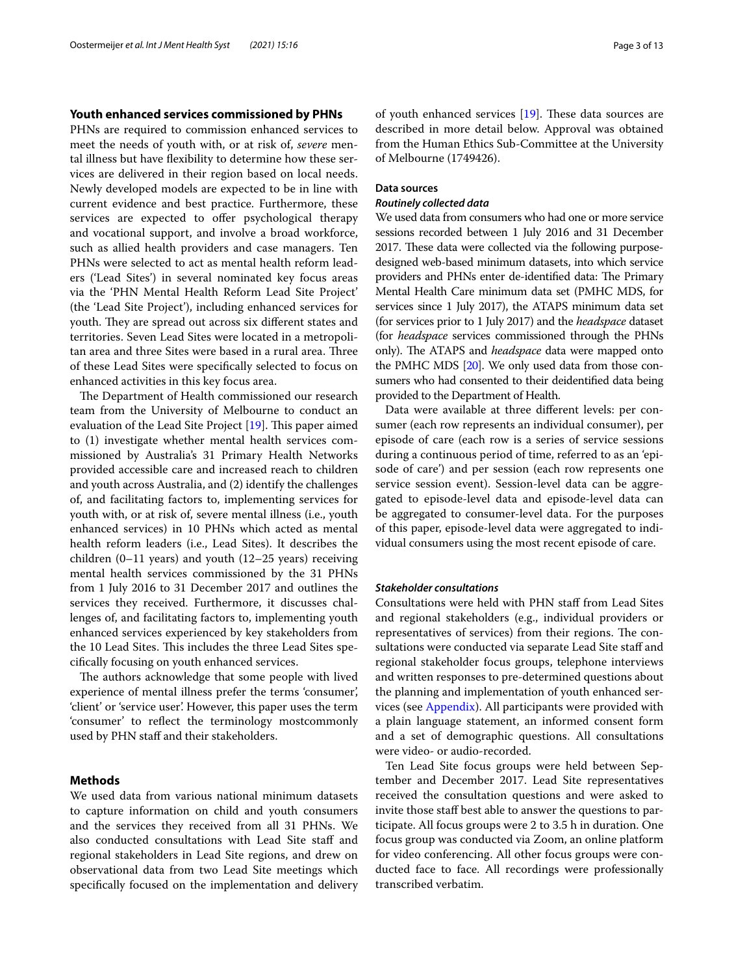#### **Youth enhanced services commissioned by PHNs**

PHNs are required to commission enhanced services to meet the needs of youth with, or at risk of, *severe* mental illness but have fexibility to determine how these services are delivered in their region based on local needs. Newly developed models are expected to be in line with current evidence and best practice. Furthermore, these services are expected to offer psychological therapy and vocational support, and involve a broad workforce, such as allied health providers and case managers. Ten PHNs were selected to act as mental health reform leaders ('Lead Sites') in several nominated key focus areas via the 'PHN Mental Health Reform Lead Site Project' (the 'Lead Site Project'), including enhanced services for youth. They are spread out across six different states and territories. Seven Lead Sites were located in a metropolitan area and three Sites were based in a rural area. Three of these Lead Sites were specifcally selected to focus on enhanced activities in this key focus area.

The Department of Health commissioned our research team from the University of Melbourne to conduct an evaluation of the Lead Site Project  $[19]$  $[19]$ . This paper aimed to (1) investigate whether mental health services commissioned by Australia's 31 Primary Health Networks provided accessible care and increased reach to children and youth across Australia, and (2) identify the challenges of, and facilitating factors to, implementing services for youth with, or at risk of, severe mental illness (i.e., youth enhanced services) in 10 PHNs which acted as mental health reform leaders (i.e., Lead Sites). It describes the children (0–11 years) and youth (12–25 years) receiving mental health services commissioned by the 31 PHNs from 1 July 2016 to 31 December 2017 and outlines the services they received. Furthermore, it discusses challenges of, and facilitating factors to, implementing youth enhanced services experienced by key stakeholders from the 10 Lead Sites. This includes the three Lead Sites specifcally focusing on youth enhanced services.

The authors acknowledge that some people with lived experience of mental illness prefer the terms 'consumer', 'client' or 'service user'. However, this paper uses the term 'consumer' to refect the terminology mostcommonly used by PHN staff and their stakeholders.

# **Methods**

We used data from various national minimum datasets to capture information on child and youth consumers and the services they received from all 31 PHNs. We also conducted consultations with Lead Site staff and regional stakeholders in Lead Site regions, and drew on observational data from two Lead Site meetings which specifcally focused on the implementation and delivery of youth enhanced services  $[19]$ . These data sources are described in more detail below. Approval was obtained from the Human Ethics Sub-Committee at the University of Melbourne (1749426).

#### **Data sources**

#### *Routinely collected data*

We used data from consumers who had one or more service sessions recorded between 1 July 2016 and 31 December 2017. These data were collected via the following purposedesigned web-based minimum datasets, into which service providers and PHNs enter de-identified data: The Primary Mental Health Care minimum data set (PMHC MDS, for services since 1 July 2017), the ATAPS minimum data set (for services prior to 1 July 2017) and the *headspace* dataset (for *headspace* services commissioned through the PHNs only). The ATAPS and *headspace* data were mapped onto the PMHC MDS [[20](#page-12-8)]. We only used data from those consumers who had consented to their deidentifed data being provided to the Department of Health.

Data were available at three diferent levels: per consumer (each row represents an individual consumer), per episode of care (each row is a series of service sessions during a continuous period of time, referred to as an 'episode of care') and per session (each row represents one service session event). Session-level data can be aggregated to episode-level data and episode-level data can be aggregated to consumer-level data. For the purposes of this paper, episode-level data were aggregated to individual consumers using the most recent episode of care.

#### *Stakeholder consultations*

Consultations were held with PHN staff from Lead Sites and regional stakeholders (e.g., individual providers or representatives of services) from their regions. The consultations were conducted via separate Lead Site staf and regional stakeholder focus groups, telephone interviews and written responses to pre-determined questions about the planning and implementation of youth enhanced services (see [Appendix\)](#page-11-10). All participants were provided with a plain language statement, an informed consent form and a set of demographic questions. All consultations were video- or audio-recorded.

Ten Lead Site focus groups were held between September and December 2017. Lead Site representatives received the consultation questions and were asked to invite those staff best able to answer the questions to participate. All focus groups were 2 to 3.5 h in duration. One focus group was conducted via Zoom, an online platform for video conferencing. All other focus groups were conducted face to face. All recordings were professionally transcribed verbatim.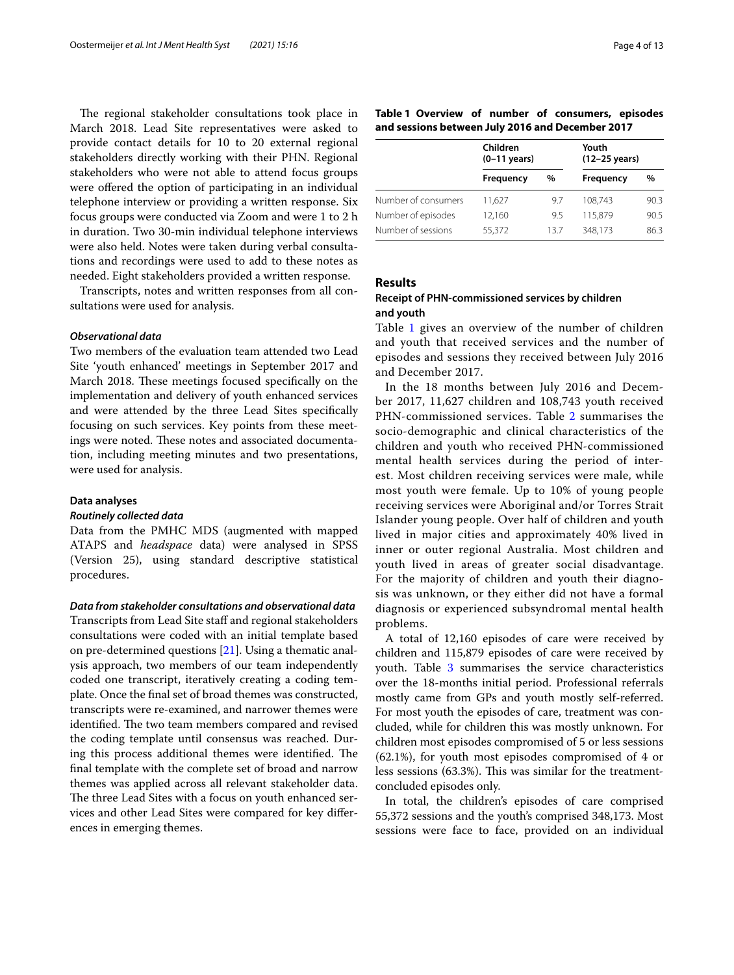The regional stakeholder consultations took place in March 2018. Lead Site representatives were asked to provide contact details for 10 to 20 external regional stakeholders directly working with their PHN. Regional stakeholders who were not able to attend focus groups were offered the option of participating in an individual telephone interview or providing a written response. Six focus groups were conducted via Zoom and were 1 to 2 h in duration. Two 30-min individual telephone interviews were also held. Notes were taken during verbal consultations and recordings were used to add to these notes as needed. Eight stakeholders provided a written response.

Transcripts, notes and written responses from all consultations were used for analysis.

#### *Observational data*

Two members of the evaluation team attended two Lead Site 'youth enhanced' meetings in September 2017 and March 2018. These meetings focused specifically on the implementation and delivery of youth enhanced services and were attended by the three Lead Sites specifcally focusing on such services. Key points from these meetings were noted. These notes and associated documentation, including meeting minutes and two presentations, were used for analysis.

#### **Data analyses**

#### *Routinely collected data*

Data from the PMHC MDS (augmented with mapped ATAPS and *headspace* data) were analysed in SPSS (Version 25), using standard descriptive statistical procedures.

*Data from stakeholder consultations and observational data* Transcripts from Lead Site staff and regional stakeholders consultations were coded with an initial template based on pre-determined questions [\[21](#page-12-9)]. Using a thematic analysis approach, two members of our team independently coded one transcript, iteratively creating a coding template. Once the fnal set of broad themes was constructed, transcripts were re-examined, and narrower themes were identified. The two team members compared and revised the coding template until consensus was reached. During this process additional themes were identified. The fnal template with the complete set of broad and narrow themes was applied across all relevant stakeholder data. The three Lead Sites with a focus on youth enhanced services and other Lead Sites were compared for key diferences in emerging themes.

<span id="page-3-0"></span>

|  |  | Table 1 Overview of number of consumers, episodes |  |
|--|--|---------------------------------------------------|--|
|  |  | and sessions between July 2016 and December 2017  |  |

|                     | Children<br>$(0-11$ years) |     | Youth<br>(12-25 years) |      |
|---------------------|----------------------------|-----|------------------------|------|
|                     | Frequency                  | %   | <b>Frequency</b>       | %    |
| Number of consumers | 11.627                     | 9.7 | 108.743                | 90.3 |
| Number of episodes  | 12,160                     | 9.5 | 115,879                | 90.5 |
| Number of sessions  | 55.372                     | 137 | 348.173                | 863  |

#### **Results**

#### **Receipt of PHN‑commissioned services by children and youth**

Table [1](#page-3-0) gives an overview of the number of children and youth that received services and the number of episodes and sessions they received between July 2016 and December 2017.

In the 18 months between July 2016 and December 2017, 11,627 children and 108,743 youth received PHN-commissioned services. Table [2](#page-4-0) summarises the socio-demographic and clinical characteristics of the children and youth who received PHN-commissioned mental health services during the period of interest. Most children receiving services were male, while most youth were female. Up to 10% of young people receiving services were Aboriginal and/or Torres Strait Islander young people. Over half of children and youth lived in major cities and approximately 40% lived in inner or outer regional Australia. Most children and youth lived in areas of greater social disadvantage. For the majority of children and youth their diagnosis was unknown, or they either did not have a formal diagnosis or experienced subsyndromal mental health problems.

A total of 12,160 episodes of care were received by children and 115,879 episodes of care were received by youth. Table [3](#page-5-0) summarises the service characteristics over the 18-months initial period. Professional referrals mostly came from GPs and youth mostly self-referred. For most youth the episodes of care, treatment was concluded, while for children this was mostly unknown. For children most episodes compromised of 5 or less sessions (62.1%), for youth most episodes compromised of 4 or less sessions (63.3%). This was similar for the treatmentconcluded episodes only.

In total, the children's episodes of care comprised 55,372 sessions and the youth's comprised 348,173. Most sessions were face to face, provided on an individual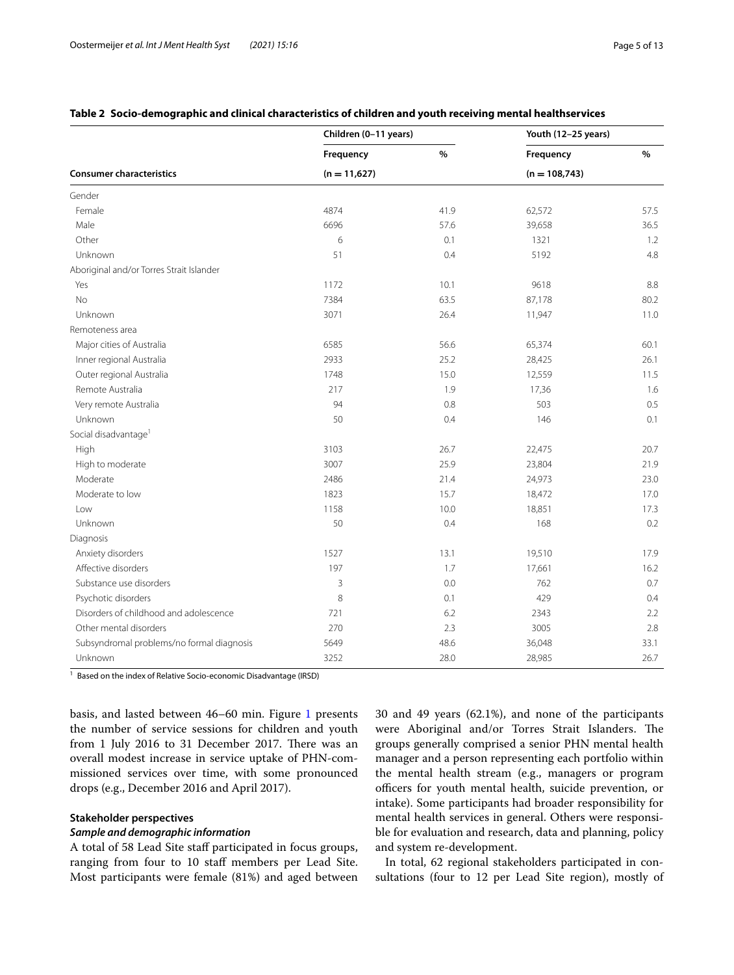<span id="page-4-0"></span>

|                                           | Children (0-11 years) |      | Youth (12-25 years) |      |
|-------------------------------------------|-----------------------|------|---------------------|------|
|                                           | Frequency             | $\%$ | Frequency           | $\%$ |
| <b>Consumer characteristics</b>           | $(n = 11,627)$        |      | $(n = 108, 743)$    |      |
| Gender                                    |                       |      |                     |      |
| Female                                    | 4874                  | 41.9 | 62,572              | 57.5 |
| Male                                      | 6696                  | 57.6 | 39,658              | 36.5 |
| Other                                     | 6                     | 0.1  | 1321                | 1.2  |
| Unknown                                   | 51                    | 0.4  | 5192                | 4.8  |
| Aboriginal and/or Torres Strait Islander  |                       |      |                     |      |
| Yes                                       | 1172                  | 10.1 | 9618                | 8.8  |
| <b>No</b>                                 | 7384                  | 63.5 | 87,178              | 80.2 |
| Unknown                                   | 3071                  | 26.4 | 11,947              | 11.0 |
| Remoteness area                           |                       |      |                     |      |
| Major cities of Australia                 | 6585                  | 56.6 | 65,374              | 60.1 |
| Inner regional Australia                  | 2933                  | 25.2 | 28,425              | 26.1 |
| Outer regional Australia                  | 1748                  | 15.0 | 12,559              | 11.5 |
| Remote Australia                          | 217                   | 1.9  | 17,36               | 1.6  |
| Very remote Australia                     | 94                    | 0.8  | 503                 | 0.5  |
| Unknown                                   | 50                    | 0.4  | 146                 | 0.1  |
| Social disadvantage <sup>1</sup>          |                       |      |                     |      |
| High                                      | 3103                  | 26.7 | 22,475              | 20.7 |
| High to moderate                          | 3007                  | 25.9 | 23,804              | 21.9 |
| Moderate                                  | 2486                  | 21.4 | 24,973              | 23.0 |
| Moderate to low                           | 1823                  | 15.7 | 18,472              | 17.0 |
| Low                                       | 1158                  | 10.0 | 18,851              | 17.3 |
| Unknown                                   | 50                    | 0.4  | 168                 | 0.2  |
| Diagnosis                                 |                       |      |                     |      |
| Anxiety disorders                         | 1527                  | 13.1 | 19,510              | 17.9 |
| Affective disorders                       | 197                   | 1.7  | 17,661              | 16.2 |
| Substance use disorders                   | 3                     | 0.0  | 762                 | 0.7  |
| Psychotic disorders                       | $\,8\,$               | 0.1  | 429                 | 0.4  |
| Disorders of childhood and adolescence    | 721                   | 6.2  | 2343                | 2.2  |
| Other mental disorders                    | 270                   | 2.3  | 3005                | 2.8  |
| Subsyndromal problems/no formal diagnosis | 5649                  | 48.6 | 36,048              | 33.1 |
| Unknown                                   | 3252                  | 28.0 | 28,985              | 26.7 |

<sup>1</sup> Based on the index of Relative Socio-economic Disadvantage (IRSD)

basis, and lasted between 46–60 min. Figure [1](#page-6-0) presents the number of service sessions for children and youth from 1 July 2016 to 31 December 2017. There was an overall modest increase in service uptake of PHN-commissioned services over time, with some pronounced drops (e.g., December 2016 and April 2017).

#### **Stakeholder perspectives**

#### *Sample and demographic information*

A total of 58 Lead Site staf participated in focus groups, ranging from four to 10 staf members per Lead Site. Most participants were female (81%) and aged between 30 and 49 years (62.1%), and none of the participants were Aboriginal and/or Torres Strait Islanders. The groups generally comprised a senior PHN mental health manager and a person representing each portfolio within the mental health stream (e.g., managers or program officers for youth mental health, suicide prevention, or intake). Some participants had broader responsibility for mental health services in general. Others were responsible for evaluation and research, data and planning, policy and system re-development.

In total, 62 regional stakeholders participated in consultations (four to 12 per Lead Site region), mostly of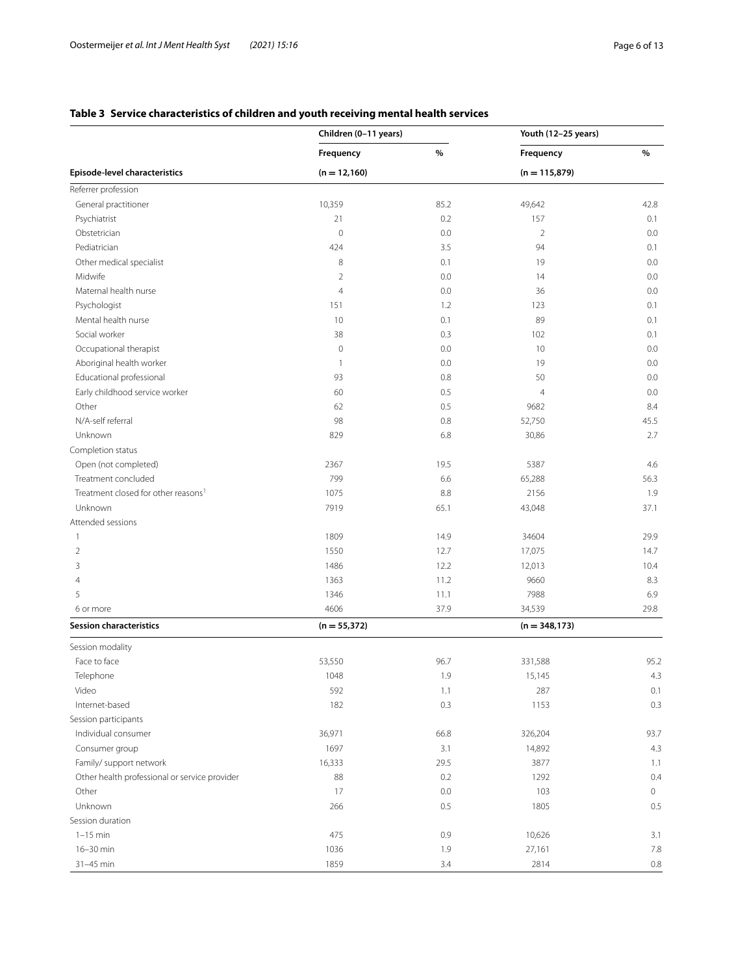# <span id="page-5-0"></span>**Table 3 Service characteristics of children and youth receiving mental health services**

|                                                 | Children (0-11 years) |      | Youth (12-25 years) |         |
|-------------------------------------------------|-----------------------|------|---------------------|---------|
|                                                 | Frequency             | $\%$ | Frequency           | $\%$    |
| Episode-level characteristics                   | $(n = 12,160)$        |      | $(n = 115,879)$     |         |
| Referrer profession                             |                       |      |                     |         |
| General practitioner                            | 10,359                | 85.2 | 49,642              | 42.8    |
| Psychiatrist                                    | 21                    | 0.2  | 157                 | 0.1     |
| Obstetrician                                    | $\circ$               | 0.0  | $\overline{2}$      | 0.0     |
| Pediatrician                                    | 424                   | 3.5  | 94                  | 0.1     |
| Other medical specialist                        | 8                     | 0.1  | 19                  | 0.0     |
| Midwife                                         | $\overline{2}$        | 0.0  | 14                  | 0.0     |
| Maternal health nurse                           | $\overline{4}$        | 0.0  | 36                  | 0.0     |
| Psychologist                                    | 151                   | 1.2  | 123                 | 0.1     |
| Mental health nurse                             | 10                    | 0.1  | 89                  | 0.1     |
| Social worker                                   | 38                    | 0.3  | 102                 | 0.1     |
| Occupational therapist                          | $\mathbb O$           | 0.0  | 10                  | 0.0     |
| Aboriginal health worker                        | 1                     | 0.0  | 19                  | 0.0     |
| Educational professional                        | 93                    | 0.8  | 50                  | 0.0     |
| Early childhood service worker                  | 60                    | 0.5  | $\overline{4}$      | 0.0     |
| Other                                           | 62                    | 0.5  | 9682                | 8.4     |
| N/A-self referral                               | 98                    | 0.8  | 52,750              | 45.5    |
| Unknown                                         | 829                   | 6.8  | 30,86               | 2.7     |
| Completion status                               |                       |      |                     |         |
| Open (not completed)                            | 2367                  | 19.5 | 5387                | 4.6     |
| Treatment concluded                             | 799                   | 6.6  | 65,288              | 56.3    |
| Treatment closed for other reasons <sup>1</sup> | 1075                  | 8.8  | 2156                | 1.9     |
| Unknown                                         | 7919                  | 65.1 | 43,048              | 37.1    |
| Attended sessions                               |                       |      |                     |         |
| 1                                               | 1809                  | 14.9 | 34604               | 29.9    |
| 2                                               | 1550                  | 12.7 | 17,075              | 14.7    |
| 3                                               | 1486                  | 12.2 | 12,013              | 10.4    |
| 4                                               | 1363                  | 11.2 | 9660                | 8.3     |
| 5                                               | 1346                  | 11.1 | 7988                | 6.9     |
| 6 or more                                       | 4606                  | 37.9 | 34,539              | 29.8    |
| <b>Session characteristics</b>                  | $(n = 55,372)$        |      | $(n = 348, 173)$    |         |
|                                                 |                       |      |                     |         |
| Session modality<br>Face to face                |                       |      |                     | 95.2    |
|                                                 | 53,550                | 96.7 | 331,588             |         |
| Telephone                                       | 1048                  | 1.9  | 15,145              | 4.3     |
| Video                                           | 592                   | 1.1  | 287                 | 0.1     |
| Internet-based                                  | 182                   | 0.3  | 1153                | 0.3     |
| Session participants                            |                       |      |                     |         |
| Individual consumer                             | 36,971                | 66.8 | 326,204             | 93.7    |
| Consumer group                                  | 1697                  | 3.1  | 14,892              | 4.3     |
| Family/ support network                         | 16,333                | 29.5 | 3877                | 1.1     |
| Other health professional or service provider   | 88                    | 0.2  | 1292                | 0.4     |
| Other                                           | 17                    | 0.0  | 103                 | $\circ$ |
| Unknown                                         | 266                   | 0.5  | 1805                | 0.5     |
| Session duration                                |                       |      |                     |         |
| $1-15$ min                                      | 475                   | 0.9  | 10,626              | 3.1     |
| 16-30 min                                       | 1036                  | 1.9  | 27,161              | 7.8     |
| 31-45 min                                       | 1859                  | 3.4  | 2814                | 0.8     |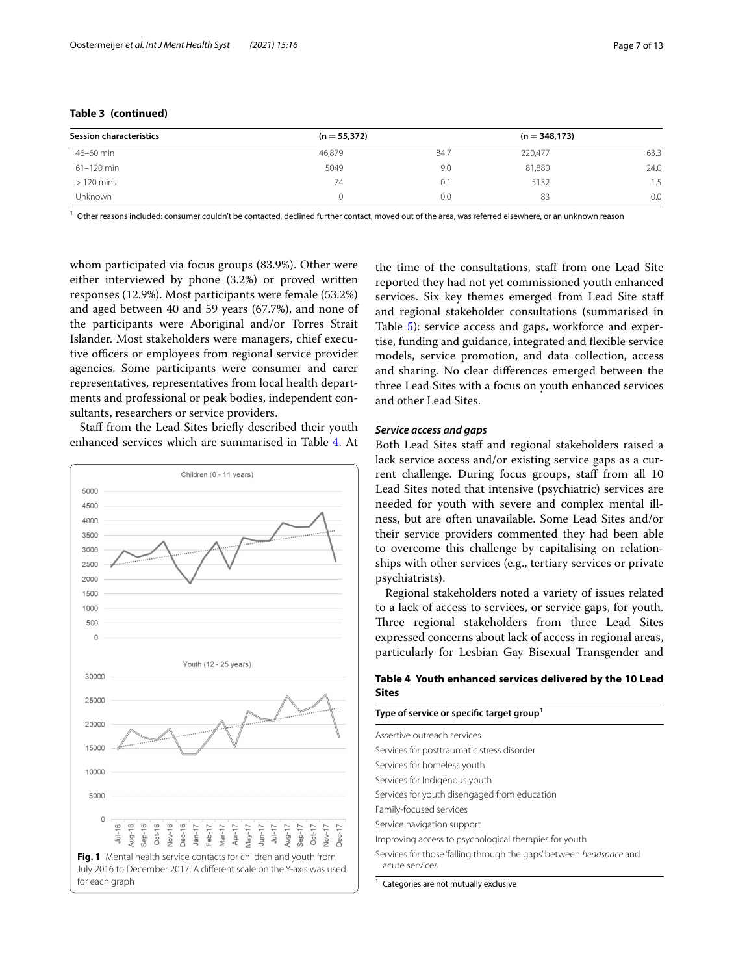| <b>Session characteristics</b> | $(n = 55,372)$ |      | $(n = 348, 173)$ |      |
|--------------------------------|----------------|------|------------------|------|
| 46-60 min                      | 46,879         | 84.7 | 220.477          | 63.3 |
| 61-120 min                     | 5049           | 9.0  | 81,880           | 24.0 |
| $>120$ mins                    | 74             | O. I | 5132             | 1.5  |
| <b>Unknown</b>                 |                | 0.0  | 83               | 0.0  |

 $1$  Other reasons included: consumer couldn't be contacted, declined further contact, moved out of the area, was referred elsewhere, or an unknown reason

whom participated via focus groups (83.9%). Other were either interviewed by phone (3.2%) or proved written responses (12.9%). Most participants were female (53.2%) and aged between 40 and 59 years (67.7%), and none of the participants were Aboriginal and/or Torres Strait Islander. Most stakeholders were managers, chief executive officers or employees from regional service provider agencies. Some participants were consumer and carer representatives, representatives from local health departments and professional or peak bodies, independent consultants, researchers or service providers.

Staff from the Lead Sites briefly described their youth enhanced services which are summarised in Table [4.](#page-6-1) At



the time of the consultations, staff from one Lead Site reported they had not yet commissioned youth enhanced services. Six key themes emerged from Lead Site staf and regional stakeholder consultations (summarised in Table [5](#page-7-0)): service access and gaps, workforce and expertise, funding and guidance, integrated and fexible service models, service promotion, and data collection, access and sharing. No clear diferences emerged between the three Lead Sites with a focus on youth enhanced services and other Lead Sites.

#### *Service access and gaps*

Both Lead Sites staff and regional stakeholders raised a lack service access and/or existing service gaps as a current challenge. During focus groups, staff from all 10 Lead Sites noted that intensive (psychiatric) services are needed for youth with severe and complex mental illness, but are often unavailable. Some Lead Sites and/or their service providers commented they had been able to overcome this challenge by capitalising on relationships with other services (e.g., tertiary services or private psychiatrists).

Regional stakeholders noted a variety of issues related to a lack of access to services, or service gaps, for youth. Three regional stakeholders from three Lead Sites expressed concerns about lack of access in regional areas, particularly for Lesbian Gay Bisexual Transgender and

### <span id="page-6-1"></span>**Table 4 Youth enhanced services delivered by the 10 Lead Sites**

#### **Type of service or specifc target group<sup>1</sup>**

Assertive outreach services Services for posttraumatic stress disorder Services for homeless youth Services for Indigenous youth Services for youth disengaged from education Family-focused services Service navigation support Improving access to psychological therapies for youth Services for those 'falling through the gaps' between *headspace* and acute services

<span id="page-6-0"></span>Categories are not mutually exclusive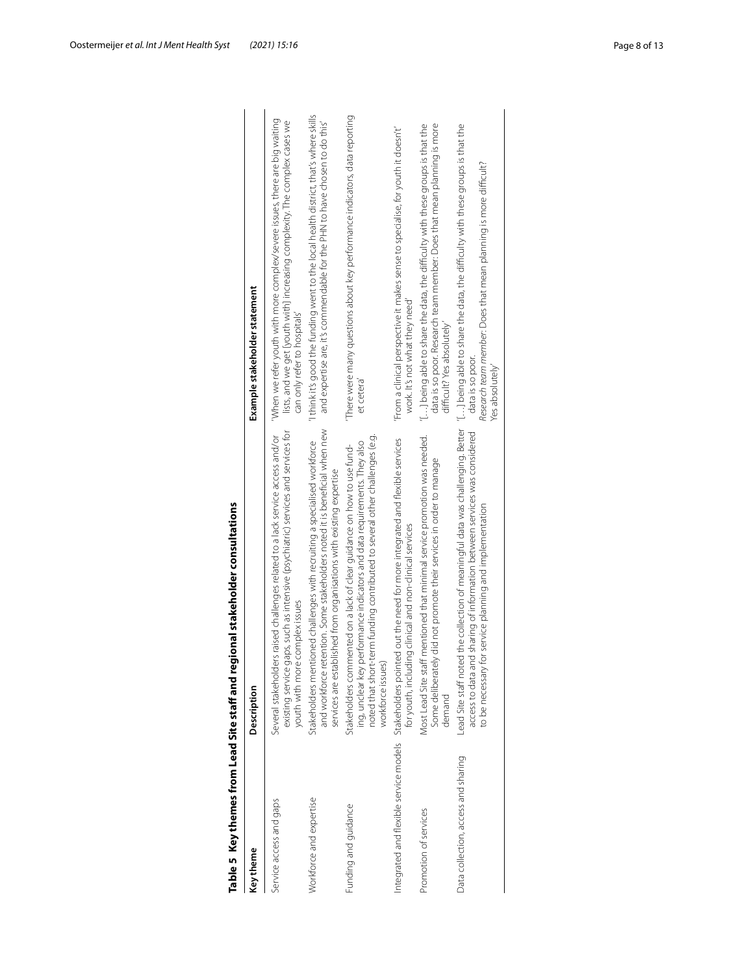<span id="page-7-0"></span>

| Key theme                           | Description                                                                                                                                                                                                                                            | Example stakeholder statement                                                                                                                                                            |
|-------------------------------------|--------------------------------------------------------------------------------------------------------------------------------------------------------------------------------------------------------------------------------------------------------|------------------------------------------------------------------------------------------------------------------------------------------------------------------------------------------|
| Service access and gaps             | existing service gaps, such as intensive (psychiatric) services and services for<br>Several stakeholders raised challenges related to a lack service access and/or<br>youth with more complex issues                                                   | When we refer youth with more complex/severe issues, there are big waiting<br>lists, and we get [youth with] increasing complexity. The complex cases we<br>can only refer to hospitals' |
| Workforce and expertise             | and workforce retention. Some stakeholders noted it is beneficial when new<br>Stakeholders mentioned challenges with recruiting a specialised workforce<br>services are established from organisations with existing expertise                         | 1 think it's good the funding went to the local health district, that's where skills<br>and expertise are, it's commendable for the PHN to have chosen to do this'                       |
| Funding and guidance                | noted that short-term funding contributed to several other challenges (e.g.<br>ing, unclear key performance indicators and data requirements. They also<br>Stakeholders commented on a lack of clear guidance on how to use fund-<br>workforce issues) | There were many questions about key performance indicators, data reporting<br>et cetera'                                                                                                 |
|                                     | ntegrated and flexible service models Stakeholders pointed out the need for more integrated and flexible services<br>for youth, including clinical and non-clinical services                                                                           | From a clinical perspective it makes sense to specialise, for youth it doesn't'<br>work. It's not what they need'                                                                        |
| Promotion of services               | Most Lead Site staff mentioned that minimal service promotion was needed.<br>Some deliberately did not promote their services in order to manage<br>demand                                                                                             | data is so poor. Research team member: Does that mean planning is more<br>[1.1] being able to share the data, the difficulty with these groups is that the<br>difficult? Yes absolutely' |
| Data collection, access and sharing | ted the collection of meaningful data was challenging. Better<br>access to data and sharing of information between services was considered<br>to be necessary for service planning and implementation<br>Lead Site staff not                           | [1] being able to share the data, the difficulty with these groups is that the<br>Research team member. Does that mean planning is more difficult?<br>data is so poor.<br>Yes absolutely |
|                                     |                                                                                                                                                                                                                                                        |                                                                                                                                                                                          |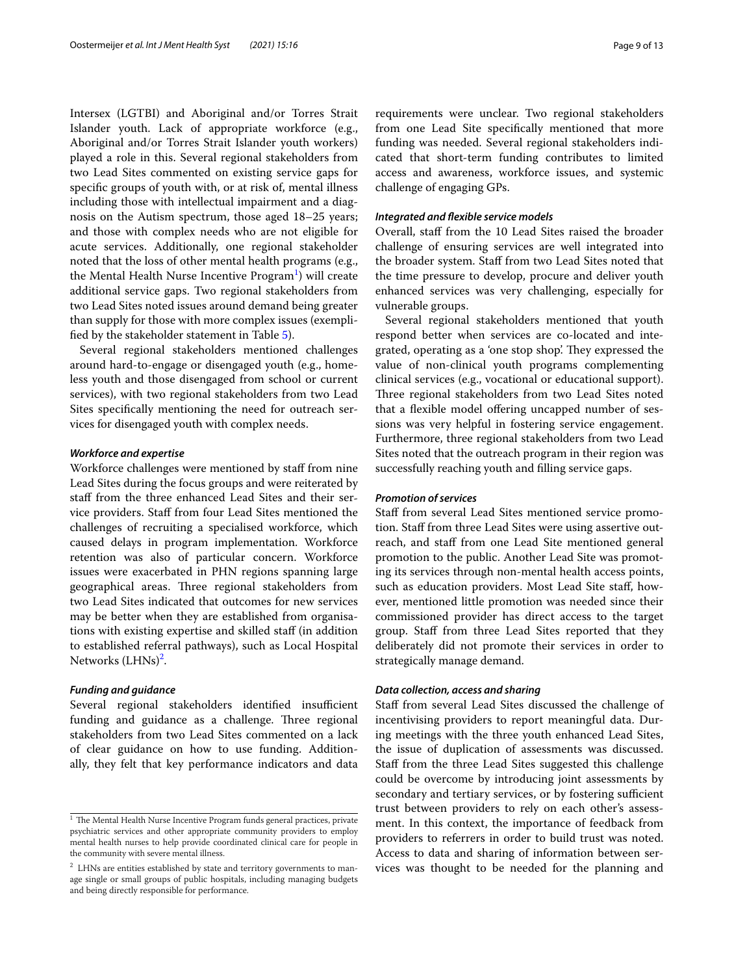Intersex (LGTBI) and Aboriginal and/or Torres Strait Islander youth. Lack of appropriate workforce (e.g., Aboriginal and/or Torres Strait Islander youth workers) played a role in this. Several regional stakeholders from two Lead Sites commented on existing service gaps for specifc groups of youth with, or at risk of, mental illness including those with intellectual impairment and a diagnosis on the Autism spectrum, those aged 18–25 years; and those with complex needs who are not eligible for acute services. Additionally, one regional stakeholder noted that the loss of other mental health programs (e.g., the Mental Health Nurse Incentive  $\mathrm{Program}^1$  $\mathrm{Program}^1$ ) will create additional service gaps. Two regional stakeholders from two Lead Sites noted issues around demand being greater than supply for those with more complex issues (exemplifed by the stakeholder statement in Table [5\)](#page-7-0).

Several regional stakeholders mentioned challenges around hard-to-engage or disengaged youth (e.g., homeless youth and those disengaged from school or current services), with two regional stakeholders from two Lead Sites specifcally mentioning the need for outreach services for disengaged youth with complex needs.

#### *Workforce and expertise*

Workforce challenges were mentioned by staf from nine Lead Sites during the focus groups and were reiterated by staff from the three enhanced Lead Sites and their service providers. Staf from four Lead Sites mentioned the challenges of recruiting a specialised workforce, which caused delays in program implementation. Workforce retention was also of particular concern. Workforce issues were exacerbated in PHN regions spanning large geographical areas. Three regional stakeholders from two Lead Sites indicated that outcomes for new services may be better when they are established from organisations with existing expertise and skilled staf (in addition to established referral pathways), such as Local Hospital Networks (LHNs)<sup>[2](#page-8-1)</sup>.

#### *Funding and guidance*

Several regional stakeholders identified insufficient funding and guidance as a challenge. Three regional stakeholders from two Lead Sites commented on a lack of clear guidance on how to use funding. Additionally, they felt that key performance indicators and data requirements were unclear. Two regional stakeholders from one Lead Site specifcally mentioned that more funding was needed. Several regional stakeholders indicated that short-term funding contributes to limited access and awareness, workforce issues, and systemic challenge of engaging GPs.

#### *Integrated and fexible service models*

Overall, staf from the 10 Lead Sites raised the broader challenge of ensuring services are well integrated into the broader system. Staff from two Lead Sites noted that the time pressure to develop, procure and deliver youth enhanced services was very challenging, especially for vulnerable groups.

Several regional stakeholders mentioned that youth respond better when services are co-located and integrated, operating as a 'one stop shop'. They expressed the value of non-clinical youth programs complementing clinical services (e.g., vocational or educational support). Three regional stakeholders from two Lead Sites noted that a flexible model offering uncapped number of sessions was very helpful in fostering service engagement. Furthermore, three regional stakeholders from two Lead Sites noted that the outreach program in their region was successfully reaching youth and flling service gaps.

#### *Promotion of services*

Staff from several Lead Sites mentioned service promotion. Staf from three Lead Sites were using assertive outreach, and staff from one Lead Site mentioned general promotion to the public. Another Lead Site was promoting its services through non-mental health access points, such as education providers. Most Lead Site staf, however, mentioned little promotion was needed since their commissioned provider has direct access to the target group. Staff from three Lead Sites reported that they deliberately did not promote their services in order to strategically manage demand.

#### *Data collection, access and sharing*

Staff from several Lead Sites discussed the challenge of incentivising providers to report meaningful data. During meetings with the three youth enhanced Lead Sites, the issue of duplication of assessments was discussed. Staff from the three Lead Sites suggested this challenge could be overcome by introducing joint assessments by secondary and tertiary services, or by fostering sufficient trust between providers to rely on each other's assessment. In this context, the importance of feedback from providers to referrers in order to build trust was noted. Access to data and sharing of information between ser-<sup>2</sup> LHNs are entities established by state and territory governments to man- vices was thought to be needed for the planning and

<span id="page-8-0"></span> $\frac{1}{1}$  The Mental Health Nurse Incentive Program funds general practices, private psychiatric services and other appropriate community providers to employ mental health nurses to help provide coordinated clinical care for people in the community with severe mental illness.

<span id="page-8-1"></span>age single or small groups of public hospitals, including managing budgets and being directly responsible for performance.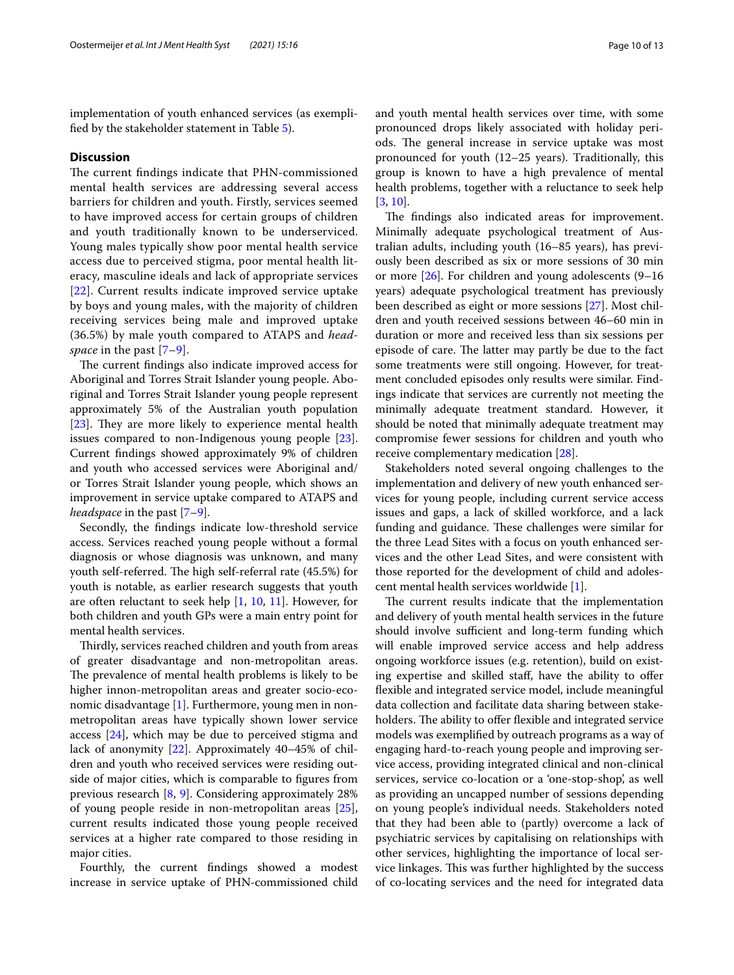implementation of youth enhanced services (as exemplifed by the stakeholder statement in Table [5\)](#page-7-0).

#### **Discussion**

The current findings indicate that PHN-commissioned mental health services are addressing several access barriers for children and youth. Firstly, services seemed to have improved access for certain groups of children and youth traditionally known to be underserviced. Young males typically show poor mental health service access due to perceived stigma, poor mental health literacy, masculine ideals and lack of appropriate services [[22](#page-12-10)]. Current results indicate improved service uptake by boys and young males, with the majority of children receiving services being male and improved uptake (36.5%) by male youth compared to ATAPS and *headspace* in the past [[7–](#page-11-6)[9\]](#page-11-7).

The current findings also indicate improved access for Aboriginal and Torres Strait Islander young people. Aboriginal and Torres Strait Islander young people represent approximately 5% of the Australian youth population [[23\]](#page-12-11). They are more likely to experience mental health issues compared to non-Indigenous young people [\[23](#page-12-11)]. Current fndings showed approximately 9% of children and youth who accessed services were Aboriginal and/ or Torres Strait Islander young people, which shows an improvement in service uptake compared to ATAPS and *headspace* in the past [\[7](#page-11-6)[–9](#page-11-7)].

Secondly, the fndings indicate low-threshold service access. Services reached young people without a formal diagnosis or whose diagnosis was unknown, and many youth self-referred. The high self-referral rate (45.5%) for youth is notable, as earlier research suggests that youth are often reluctant to seek help [\[1](#page-11-0), [10](#page-11-8), [11\]](#page-11-9). However, for both children and youth GPs were a main entry point for mental health services.

Thirdly, services reached children and youth from areas of greater disadvantage and non-metropolitan areas. The prevalence of mental health problems is likely to be higher innon-metropolitan areas and greater socio-economic disadvantage [\[1](#page-11-0)]. Furthermore, young men in nonmetropolitan areas have typically shown lower service access [[24\]](#page-12-12), which may be due to perceived stigma and lack of anonymity [[22\]](#page-12-10). Approximately 40–45% of children and youth who received services were residing outside of major cities, which is comparable to fgures from previous research [[8,](#page-11-11) [9\]](#page-11-7). Considering approximately 28% of young people reside in non-metropolitan areas [\[25](#page-12-13)], current results indicated those young people received services at a higher rate compared to those residing in major cities.

Fourthly, the current fndings showed a modest increase in service uptake of PHN-commissioned child and youth mental health services over time, with some pronounced drops likely associated with holiday periods. The general increase in service uptake was most pronounced for youth (12–25 years). Traditionally, this group is known to have a high prevalence of mental health problems, together with a reluctance to seek help [[3,](#page-11-2) [10](#page-11-8)].

The findings also indicated areas for improvement. Minimally adequate psychological treatment of Australian adults, including youth (16–85 years), has previously been described as six or more sessions of 30 min or more [[26\]](#page-12-14). For children and young adolescents (9–16 years) adequate psychological treatment has previously been described as eight or more sessions [\[27\]](#page-12-15). Most children and youth received sessions between 46–60 min in duration or more and received less than six sessions per episode of care. The latter may partly be due to the fact some treatments were still ongoing. However, for treatment concluded episodes only results were similar. Findings indicate that services are currently not meeting the minimally adequate treatment standard. However, it should be noted that minimally adequate treatment may compromise fewer sessions for children and youth who receive complementary medication [[28\]](#page-12-16).

Stakeholders noted several ongoing challenges to the implementation and delivery of new youth enhanced services for young people, including current service access issues and gaps, a lack of skilled workforce, and a lack funding and guidance. These challenges were similar for the three Lead Sites with a focus on youth enhanced services and the other Lead Sites, and were consistent with those reported for the development of child and adolescent mental health services worldwide [\[1](#page-11-0)].

The current results indicate that the implementation and delivery of youth mental health services in the future should involve sufficient and long-term funding which will enable improved service access and help address ongoing workforce issues (e.g. retention), build on existing expertise and skilled staff, have the ability to offer fexible and integrated service model, include meaningful data collection and facilitate data sharing between stakeholders. The ability to offer flexible and integrated service models was exemplifed by outreach programs as a way of engaging hard-to-reach young people and improving service access, providing integrated clinical and non-clinical services, service co-location or a 'one-stop-shop', as well as providing an uncapped number of sessions depending on young people's individual needs. Stakeholders noted that they had been able to (partly) overcome a lack of psychiatric services by capitalising on relationships with other services, highlighting the importance of local service linkages. This was further highlighted by the success of co-locating services and the need for integrated data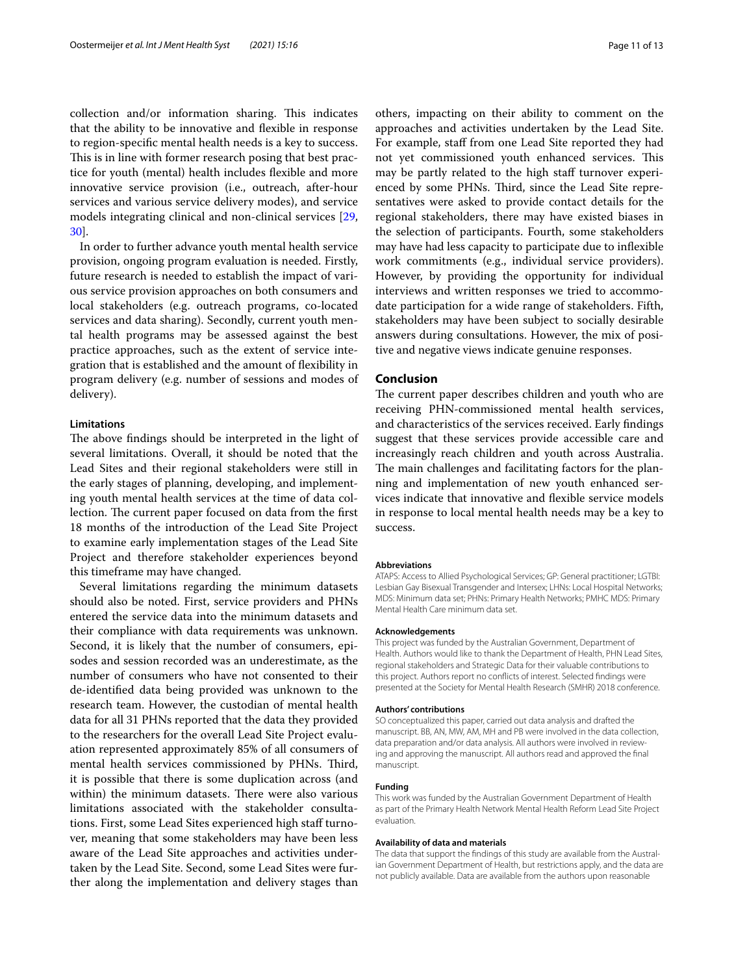collection and/or information sharing. This indicates that the ability to be innovative and fexible in response to region-specifc mental health needs is a key to success. This is in line with former research posing that best practice for youth (mental) health includes fexible and more innovative service provision (i.e., outreach, after-hour services and various service delivery modes), and service models integrating clinical and non-clinical services [\[29](#page-12-17), [30\]](#page-12-18).

In order to further advance youth mental health service provision, ongoing program evaluation is needed. Firstly, future research is needed to establish the impact of various service provision approaches on both consumers and local stakeholders (e.g. outreach programs, co-located services and data sharing). Secondly, current youth mental health programs may be assessed against the best practice approaches, such as the extent of service integration that is established and the amount of fexibility in program delivery (e.g. number of sessions and modes of delivery).

#### **Limitations**

The above findings should be interpreted in the light of several limitations. Overall, it should be noted that the Lead Sites and their regional stakeholders were still in the early stages of planning, developing, and implementing youth mental health services at the time of data collection. The current paper focused on data from the first 18 months of the introduction of the Lead Site Project to examine early implementation stages of the Lead Site Project and therefore stakeholder experiences beyond this timeframe may have changed.

Several limitations regarding the minimum datasets should also be noted. First, service providers and PHNs entered the service data into the minimum datasets and their compliance with data requirements was unknown. Second, it is likely that the number of consumers, episodes and session recorded was an underestimate, as the number of consumers who have not consented to their de-identifed data being provided was unknown to the research team. However, the custodian of mental health data for all 31 PHNs reported that the data they provided to the researchers for the overall Lead Site Project evaluation represented approximately 85% of all consumers of mental health services commissioned by PHNs. Third, it is possible that there is some duplication across (and within) the minimum datasets. There were also various limitations associated with the stakeholder consultations. First, some Lead Sites experienced high staff turnover, meaning that some stakeholders may have been less aware of the Lead Site approaches and activities undertaken by the Lead Site. Second, some Lead Sites were further along the implementation and delivery stages than others, impacting on their ability to comment on the approaches and activities undertaken by the Lead Site. For example, staff from one Lead Site reported they had not yet commissioned youth enhanced services. This may be partly related to the high staff turnover experienced by some PHNs. Third, since the Lead Site representatives were asked to provide contact details for the regional stakeholders, there may have existed biases in the selection of participants. Fourth, some stakeholders may have had less capacity to participate due to infexible work commitments (e.g., individual service providers). However, by providing the opportunity for individual interviews and written responses we tried to accommodate participation for a wide range of stakeholders. Fifth, stakeholders may have been subject to socially desirable answers during consultations. However, the mix of positive and negative views indicate genuine responses.

#### **Conclusion**

The current paper describes children and youth who are receiving PHN-commissioned mental health services, and characteristics of the services received. Early fndings suggest that these services provide accessible care and increasingly reach children and youth across Australia. The main challenges and facilitating factors for the planning and implementation of new youth enhanced services indicate that innovative and fexible service models in response to local mental health needs may be a key to success.

#### **Abbreviations**

ATAPS: Access to Allied Psychological Services; GP: General practitioner; LGTBI: Lesbian Gay Bisexual Transgender and Intersex; LHNs: Local Hospital Networks; MDS: Minimum data set; PHNs: Primary Health Networks; PMHC MDS: Primary Mental Health Care minimum data set.

#### **Acknowledgements**

This project was funded by the Australian Government, Department of Health. Authors would like to thank the Department of Health, PHN Lead Sites, regional stakeholders and Strategic Data for their valuable contributions to this project. Authors report no conficts of interest. Selected fndings were presented at the Society for Mental Health Research (SMHR) 2018 conference.

#### **Authors' contributions**

SO conceptualized this paper, carried out data analysis and drafted the manuscript. BB, AN, MW, AM, MH and PB were involved in the data collection, data preparation and/or data analysis. All authors were involved in reviewing and approving the manuscript. All authors read and approved the fnal manuscript.

#### **Funding**

This work was funded by the Australian Government Department of Health as part of the Primary Health Network Mental Health Reform Lead Site Project evaluation.

#### **Availability of data and materials**

The data that support the fndings of this study are available from the Australian Government Department of Health, but restrictions apply, and the data are not publicly available. Data are available from the authors upon reasonable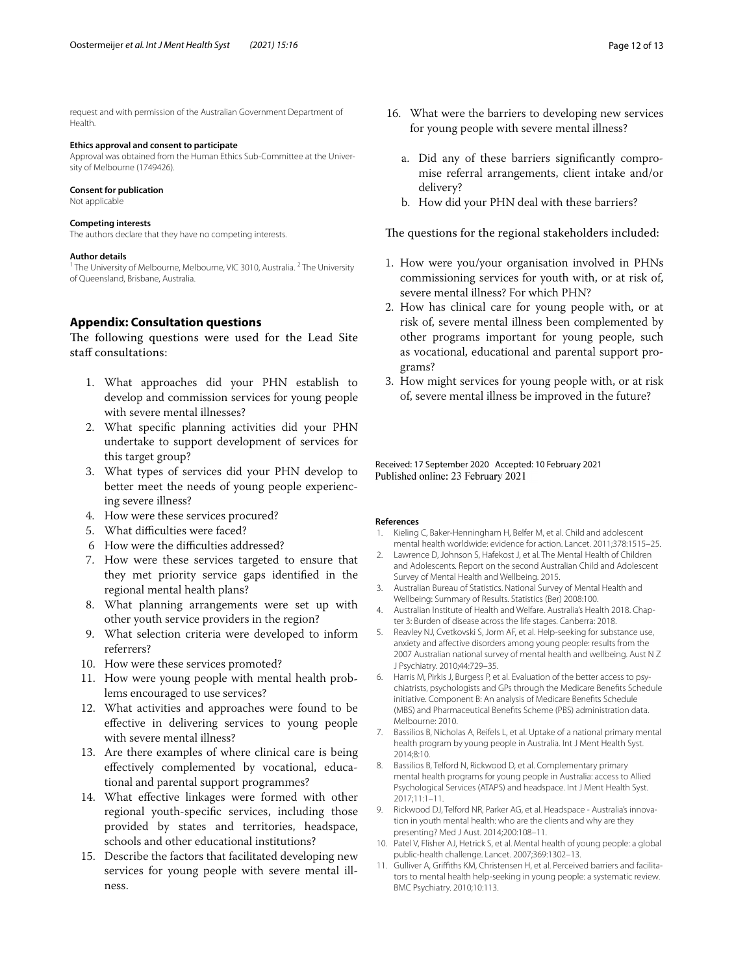request and with permission of the Australian Government Department of Health.

#### **Ethics approval and consent to participate**

Approval was obtained from the Human Ethics Sub-Committee at the University of Melbourne (1749426).

#### **Consent for publication**

Not applicable

#### **Competing interests**

The authors declare that they have no competing interests.

#### **Author details**

<sup>1</sup> The University of Melbourne, Melbourne, VIC 3010, Australia. <sup>2</sup> The University of Queensland, Brisbane, Australia.

#### <span id="page-11-10"></span>**Appendix: Consultation questions**

The following questions were used for the Lead Site staff consultations:

- 1. What approaches did your PHN establish to develop and commission services for young people with severe mental illnesses?
- 2. What specifc planning activities did your PHN undertake to support development of services for this target group?
- 3. What types of services did your PHN develop to better meet the needs of young people experiencing severe illness?
- 4. How were these services procured?
- 5. What difficulties were faced?
- 6 How were the difficulties addressed?
- 7. How were these services targeted to ensure that they met priority service gaps identifed in the regional mental health plans?
- 8. What planning arrangements were set up with other youth service providers in the region?
- 9. What selection criteria were developed to inform referrers?
- 10. How were these services promoted?
- 11. How were young people with mental health problems encouraged to use services?
- 12. What activities and approaches were found to be efective in delivering services to young people with severe mental illness?
- 13. Are there examples of where clinical care is being efectively complemented by vocational, educational and parental support programmes?
- 14. What efective linkages were formed with other regional youth-specifc services, including those provided by states and territories, headspace, schools and other educational institutions?
- 15. Describe the factors that facilitated developing new services for young people with severe mental illness.
- 16. What were the barriers to developing new services for young people with severe mental illness?
	- a. Did any of these barriers signifcantly compromise referral arrangements, client intake and/or delivery?
	- b. How did your PHN deal with these barriers?

The questions for the regional stakeholders included:

- 1. How were you/your organisation involved in PHNs commissioning services for youth with, or at risk of, severe mental illness? For which PHN?
- 2. How has clinical care for young people with, or at risk of, severe mental illness been complemented by other programs important for young people, such as vocational, educational and parental support programs?
- 3. How might services for young people with, or at risk of, severe mental illness be improved in the future?

Received: 17 September 2020 Accepted: 10 February 2021 Published online: 23 February 2021

#### **References**

- <span id="page-11-0"></span>1. Kieling C, Baker-Henningham H, Belfer M, et al. Child and adolescent mental health worldwide: evidence for action. Lancet. 2011;378:1515–25.
- <span id="page-11-1"></span>2. Lawrence D, Johnson S, Hafekost J, et al. The Mental Health of Children and Adolescents. Report on the second Australian Child and Adolescent Survey of Mental Health and Wellbeing. 2015.
- <span id="page-11-2"></span>3. Australian Bureau of Statistics. National Survey of Mental Health and Wellbeing: Summary of Results. Statistics (Ber) 2008:100.
- <span id="page-11-3"></span>4. Australian Institute of Health and Welfare. Australia's Health 2018. Chapter 3: Burden of disease across the life stages. Canberra: 2018.
- <span id="page-11-4"></span>5. Reavley NJ, Cvetkovski S, Jorm AF, et al. Help-seeking for substance use, anxiety and afective disorders among young people: results from the 2007 Australian national survey of mental health and wellbeing. Aust N Z J Psychiatry. 2010;44:729–35.
- <span id="page-11-5"></span>6. Harris M, Pirkis J, Burgess P, et al. Evaluation of the better access to psychiatrists, psychologists and GPs through the Medicare Benefts Schedule initiative. Component B: An analysis of Medicare Benefts Schedule (MBS) and Pharmaceutical Benefts Scheme (PBS) administration data. Melbourne: 2010.
- <span id="page-11-6"></span>7. Bassilios B, Nicholas A, Reifels L, et al. Uptake of a national primary mental health program by young people in Australia. Int J Ment Health Syst. 2014;8:10.
- <span id="page-11-11"></span>8. Bassilios B, Telford N, Rickwood D, et al. Complementary primary mental health programs for young people in Australia: access to Allied Psychological Services (ATAPS) and headspace. Int J Ment Health Syst. 2017;11:1–11.
- <span id="page-11-7"></span>9. Rickwood DJ, Telford NR, Parker AG, et al. Headspace - Australia's innovation in youth mental health: who are the clients and why are they presenting? Med J Aust. 2014;200:108–11.
- <span id="page-11-8"></span>10. Patel V, Flisher AJ, Hetrick S, et al. Mental health of young people: a global public-health challenge. Lancet. 2007;369:1302–13.
- <span id="page-11-9"></span>11. Gulliver A, Grifths KM, Christensen H, et al. Perceived barriers and facilitators to mental health help-seeking in young people: a systematic review. BMC Psychiatry. 2010;10:113.